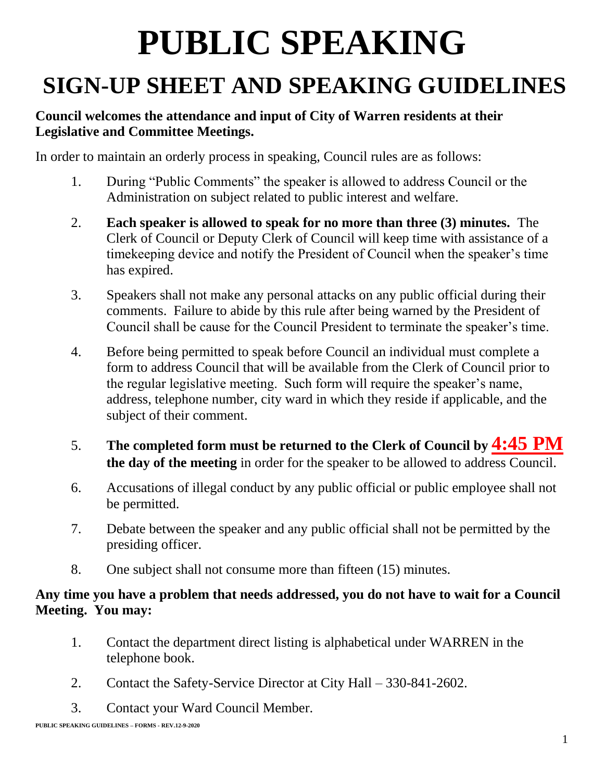# **PUBLIC SPEAKING**

## **SIGN-UP SHEET AND SPEAKING GUIDELINES**

#### **Council welcomes the attendance and input of City of Warren residents at their Legislative and Committee Meetings.**

In order to maintain an orderly process in speaking, Council rules are as follows:

- 1. During "Public Comments" the speaker is allowed to address Council or the Administration on subject related to public interest and welfare.
- 2. **Each speaker is allowed to speak for no more than three (3) minutes.** The Clerk of Council or Deputy Clerk of Council will keep time with assistance of a timekeeping device and notify the President of Council when the speaker's time has expired.
- 3. Speakers shall not make any personal attacks on any public official during their comments. Failure to abide by this rule after being warned by the President of Council shall be cause for the Council President to terminate the speaker's time.
- 4. Before being permitted to speak before Council an individual must complete a form to address Council that will be available from the Clerk of Council prior to the regular legislative meeting. Such form will require the speaker's name, address, telephone number, city ward in which they reside if applicable, and the subject of their comment.
- 5. **The completed form must be returned to the Clerk of Council by 4:45 PM the day of the meeting** in order for the speaker to be allowed to address Council.
- 6. Accusations of illegal conduct by any public official or public employee shall not be permitted.
- 7. Debate between the speaker and any public official shall not be permitted by the presiding officer.
- 8. One subject shall not consume more than fifteen (15) minutes.

#### **Any time you have a problem that needs addressed, you do not have to wait for a Council Meeting. You may:**

- 1. Contact the department direct listing is alphabetical under WARREN in the telephone book.
- 2. Contact the Safety-Service Director at City Hall 330-841-2602.
- 3. Contact your Ward Council Member.